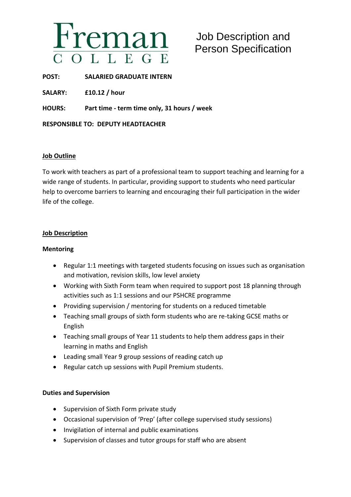

# Job Description and Person Specification

**POST: SALARIED GRADUATE INTERN**

**SALARY: £10.12 / hour**

**HOURS: Part time - term time only, 31 hours / week**

**RESPONSIBLE TO: DEPUTY HEADTEACHER**

## **Job Outline**

To work with teachers as part of a professional team to support teaching and learning for a wide range of students. In particular, providing support to students who need particular help to overcome barriers to learning and encouraging their full participation in the wider life of the college.

## **Job Description**

### **Mentoring**

- Regular 1:1 meetings with targeted students focusing on issues such as organisation and motivation, revision skills, low level anxiety
- Working with Sixth Form team when required to support post 18 planning through activities such as 1:1 sessions and our PSHCRE programme
- Providing supervision / mentoring for students on a reduced timetable
- Teaching small groups of sixth form students who are re-taking GCSE maths or English
- Teaching small groups of Year 11 students to help them address gaps in their learning in maths and English
- Leading small Year 9 group sessions of reading catch up
- Regular catch up sessions with Pupil Premium students.

## **Duties and Supervision**

- Supervision of Sixth Form private study
- Occasional supervision of 'Prep' (after college supervised study sessions)
- Invigilation of internal and public examinations
- Supervision of classes and tutor groups for staff who are absent